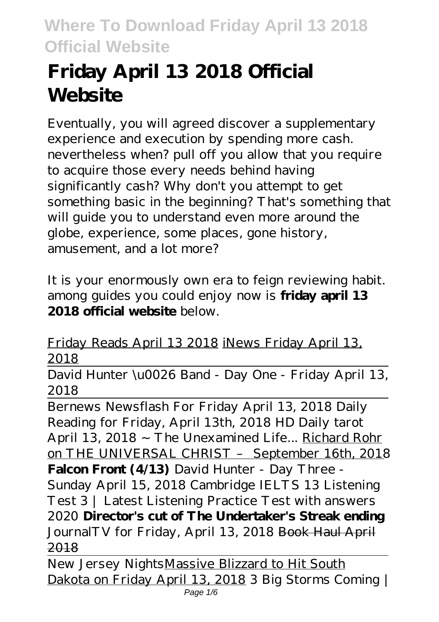# **Friday April 13 2018 Official Website**

Eventually, you will agreed discover a supplementary experience and execution by spending more cash. nevertheless when? pull off you allow that you require to acquire those every needs behind having significantly cash? Why don't you attempt to get something basic in the beginning? That's something that will guide you to understand even more around the globe, experience, some places, gone history, amusement, and a lot more?

It is your enormously own era to feign reviewing habit. among guides you could enjoy now is **friday april 13 2018 official website** below.

Friday Reads April 13 2018 iNews Friday April 13, 2018

David Hunter \u0026 Band - Day One - Friday April 13, 2018

Bernews Newsflash For Friday April 13, 2018 Daily Reading for Friday, April 13th, 2018 HD Daily tarot April 13, 2018 ~ The Unexamined Life... Richard Rohr on THE UNIVERSAL CHRIST – September 16th, 2018 **Falcon Front (4/13)** *David Hunter - Day Three - Sunday April 15, 2018 Cambridge IELTS 13 Listening Test 3 | Latest Listening Practice Test with answers 2020* **Director's cut of The Undertaker's Streak ending** *JournalTV for Friday, April 13, 2018* Book Haul April 2018

New Jersey NightsMassive Blizzard to Hit South Dakota on Friday April 13, 2018 3 Big Storms Coming | Page 1/6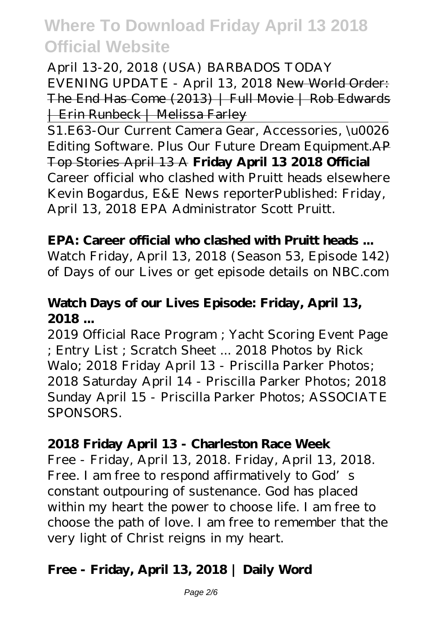April 13-20, 2018 (USA) BARBADOS TODAY EVENING UPDATE - April 13, 2018 New World Order: The End Has Come (2013) | Full Movie | Rob Edwards | Erin Runbeck | Melissa Farley

S1.E63-Our Current Camera Gear, Accessories, \u0026 Editing Software. Plus Our Future Dream Equipment.AP Top Stories April 13 A **Friday April 13 2018 Official** Career official who clashed with Pruitt heads elsewhere Kevin Bogardus, E&E News reporterPublished: Friday, April 13, 2018 EPA Administrator Scott Pruitt.

#### **EPA: Career official who clashed with Pruitt heads ...**

Watch Friday, April 13, 2018 (Season 53, Episode 142) of Days of our Lives or get episode details on NBC.com

#### **Watch Days of our Lives Episode: Friday, April 13, 2018 ...**

2019 Official Race Program ; Yacht Scoring Event Page ; Entry List ; Scratch Sheet ... 2018 Photos by Rick Walo; 2018 Friday April 13 - Priscilla Parker Photos; 2018 Saturday April 14 - Priscilla Parker Photos; 2018 Sunday April 15 - Priscilla Parker Photos; ASSOCIATE SPONSORS.

#### **2018 Friday April 13 - Charleston Race Week**

Free - Friday, April 13, 2018. Friday, April 13, 2018. Free. I am free to respond affirmatively to God's constant outpouring of sustenance. God has placed within my heart the power to choose life. I am free to choose the path of love. I am free to remember that the very light of Christ reigns in my heart.

#### **Free - Friday, April 13, 2018 | Daily Word**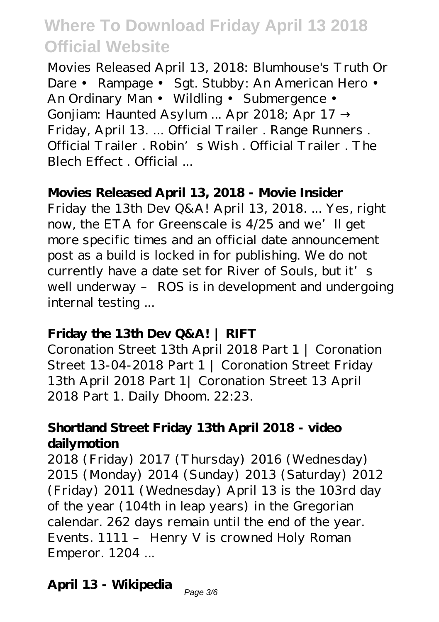Movies Released April 13, 2018: Blumhouse's Truth Or Dare • Rampage • Sgt. Stubby: An American Hero • An Ordinary Man • Wildling • Submergence • Gonjiam: Haunted Asylum ... Apr 2018; Apr 17 Friday, April 13. ... Official Trailer . Range Runners . Official Trailer . Robin's Wish . Official Trailer . The Blech Effect . Official ...

#### **Movies Released April 13, 2018 - Movie Insider**

Friday the 13th Dev Q&A! April 13, 2018. ... Yes, right now, the ETA for Greenscale is 4/25 and we'll get more specific times and an official date announcement post as a build is locked in for publishing. We do not currently have a date set for River of Souls, but it's well underway – ROS is in development and undergoing internal testing ...

#### **Friday the 13th Dev Q&A! | RIFT**

Coronation Street 13th April 2018 Part 1 | Coronation Street 13-04-2018 Part 1 | Coronation Street Friday 13th April 2018 Part 1| Coronation Street 13 April 2018 Part 1. Daily Dhoom. 22:23.

#### **Shortland Street Friday 13th April 2018 - video dailymotion**

2018 (Friday) 2017 (Thursday) 2016 (Wednesday) 2015 (Monday) 2014 (Sunday) 2013 (Saturday) 2012 (Friday) 2011 (Wednesday) April 13 is the 103rd day of the year (104th in leap years) in the Gregorian calendar. 262 days remain until the end of the year. Events. 1111 – Henry V is crowned Holy Roman Emperor. 1204 ...

# **April 13 - Wikipedia**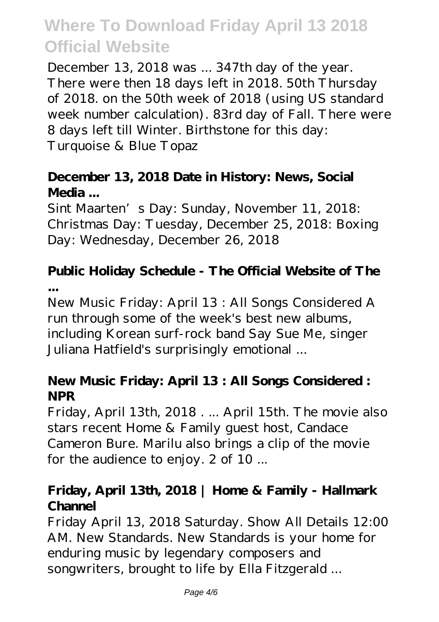December 13, 2018 was ... 347th day of the year. There were then 18 days left in 2018. 50th Thursday of 2018. on the 50th week of 2018 (using US standard week number calculation). 83rd day of Fall. There were 8 days left till Winter. Birthstone for this day: Turquoise & Blue Topaz

### **December 13, 2018 Date in History: News, Social Media ...**

Sint Maarten's Day: Sunday, November 11, 2018: Christmas Day: Tuesday, December 25, 2018: Boxing Day: Wednesday, December 26, 2018

# **Public Holiday Schedule - The Official Website of The ...**

New Music Friday: April 13 : All Songs Considered A run through some of the week's best new albums, including Korean surf-rock band Say Sue Me, singer Juliana Hatfield's surprisingly emotional ...

### **New Music Friday: April 13 : All Songs Considered : NPR**

Friday, April 13th, 2018 . ... April 15th. The movie also stars recent Home & Family guest host, Candace Cameron Bure. Marilu also brings a clip of the movie for the audience to enjoy. 2 of 10 ...

### **Friday, April 13th, 2018 | Home & Family - Hallmark Channel**

Friday April 13, 2018 Saturday. Show All Details 12:00 AM. New Standards. New Standards is your home for enduring music by legendary composers and songwriters, brought to life by Ella Fitzgerald ...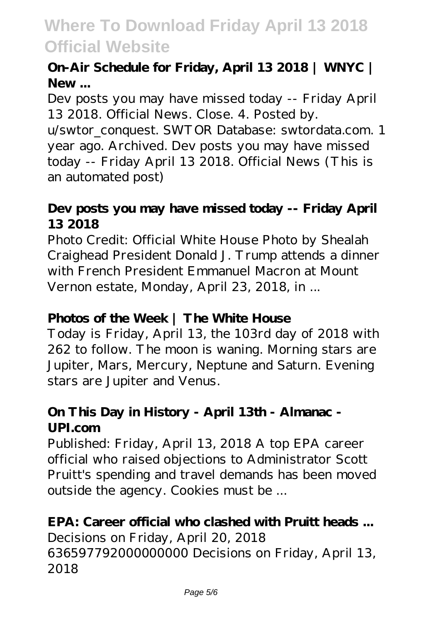### **On-Air Schedule for Friday, April 13 2018 | WNYC | New ...**

Dev posts you may have missed today -- Friday April 13 2018. Official News. Close. 4. Posted by.

u/swtor\_conquest. SWTOR Database: swtordata.com. 1 year ago. Archived. Dev posts you may have missed today -- Friday April 13 2018. Official News (This is an automated post)

### **Dev posts you may have missed today -- Friday April 13 2018**

Photo Credit: Official White House Photo by Shealah Craighead President Donald J. Trump attends a dinner with French President Emmanuel Macron at Mount Vernon estate, Monday, April 23, 2018, in ...

### **Photos of the Week | The White House**

Today is Friday, April 13, the 103rd day of 2018 with 262 to follow. The moon is waning. Morning stars are Jupiter, Mars, Mercury, Neptune and Saturn. Evening stars are Jupiter and Venus.

### **On This Day in History - April 13th - Almanac - UPI.com**

Published: Friday, April 13, 2018 A top EPA career official who raised objections to Administrator Scott Pruitt's spending and travel demands has been moved outside the agency. Cookies must be ...

### **EPA: Career official who clashed with Pruitt heads ...**

Decisions on Friday, April 20, 2018 636597792000000000 Decisions on Friday, April 13, 2018